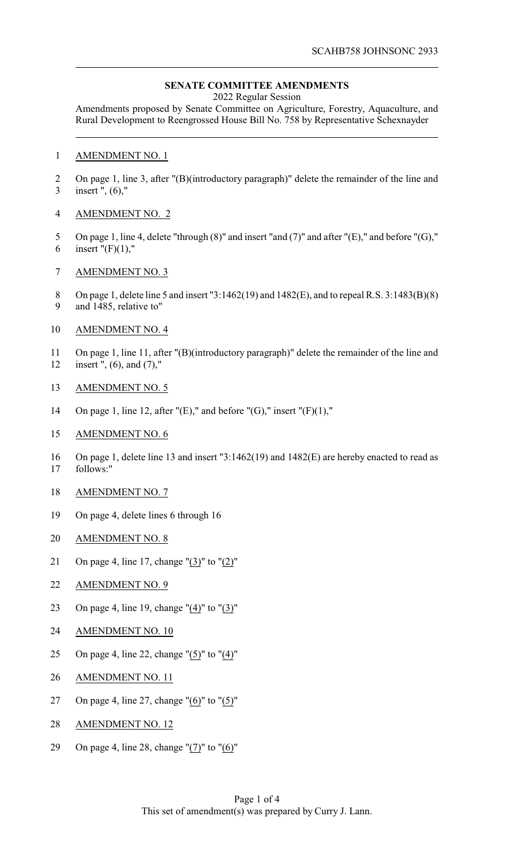## **SENATE COMMITTEE AMENDMENTS**

2022 Regular Session

Amendments proposed by Senate Committee on Agriculture, Forestry, Aquaculture, and Rural Development to Reengrossed House Bill No. 758 by Representative Schexnayder

## AMENDMENT NO. 1

2 On page 1, line 3, after "(B)(introductory paragraph)" delete the remainder of the line and insert ", (6),"

## AMENDMENT NO. 2

- On page 1, line 4, delete "through (8)" and insert "and (7)" and after "(E)," and before "(G)," 6 insert " $(F)(1)$ ,"
- AMENDMENT NO. 3
- On page 1, delete line 5 and insert "3:1462(19) and 1482(E), and to repeal R.S. 3:1483(B)(8) and 1485, relative to"
- AMENDMENT NO. 4
- On page 1, line 11, after "(B)(introductory paragraph)" delete the remainder of the line and insert ", (6), and (7),"
- AMENDMENT NO. 5
- 14 On page 1, line 12, after " $(E)$ ," and before " $(G)$ ," insert " $(F)(1)$ ,"
- AMENDMENT NO. 6
- On page 1, delete line 13 and insert "3:1462(19) and 1482(E) are hereby enacted to read as follows:"
- AMENDMENT NO. 7
- On page 4, delete lines 6 through 16
- AMENDMENT NO. 8
- On page 4, line 17, change "(3)" to "(2)"
- AMENDMENT NO. 9
- On page 4, line 19, change "(4)" to "(3)"
- AMENDMENT NO. 10
- On page 4, line 22, change "(5)" to "(4)"
- AMENDMENT NO. 11
- 27 On page 4, line 27, change " $(6)$ " to " $(5)$ "
- AMENDMENT NO. 12
- On page 4, line 28, change "(7)" to "(6)"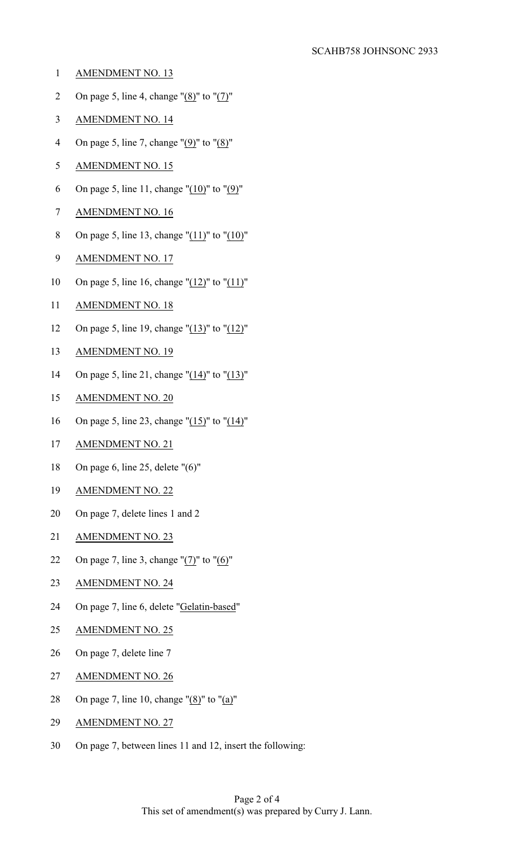- AMENDMENT NO. 13
- 2 On page 5, line 4, change " $(8)$ " to " $(7)$ "
- AMENDMENT NO. 14
- 4 On page 5, line 7, change " $(9)$ " to " $(8)$ "
- AMENDMENT NO. 15
- 6 On page 5, line 11, change " $(10)$ " to " $(9)$ "
- AMENDMENT NO. 16
- On page 5, line 13, change "(11)" to "(10)"
- AMENDMENT NO. 17
- On page 5, line 16, change "(12)" to "(11)"
- AMENDMENT NO. 18
- On page 5, line 19, change "(13)" to "(12)"
- AMENDMENT NO. 19
- 14 On page 5, line 21, change " $(14)$ " to " $(13)$ "
- AMENDMENT NO. 20
- On page 5, line 23, change "(15)" to "(14)"
- AMENDMENT NO. 21
- On page 6, line 25, delete "(6)"
- AMENDMENT NO. 22
- On page 7, delete lines 1 and 2
- AMENDMENT NO. 23
- 22 On page 7, line 3, change " $(7)$ " to " $(6)$ "
- AMENDMENT NO. 24
- On page 7, line 6, delete "Gelatin-based"
- AMENDMENT NO. 25
- On page 7, delete line 7
- AMENDMENT NO. 26
- On page 7, line 10, change "(8)" to "(a)"
- AMENDMENT NO. 27
- On page 7, between lines 11 and 12, insert the following: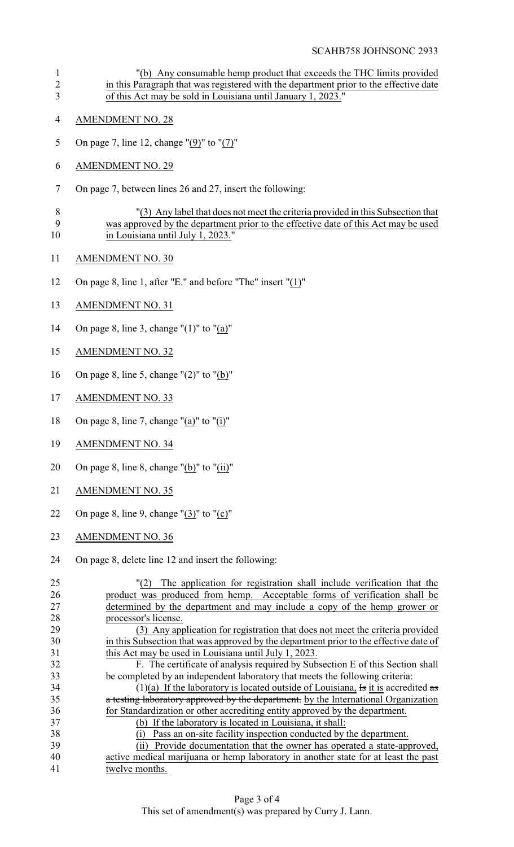"(b) Any consumable hemp product that exceeds the THC limits provided 2 in this Paragraph that was registered with the department prior to the effective date of this Act may be sold in Louisiana until January 1, 2023." AMENDMENT NO. 28 On page 7, line 12, change "(9)" to "(7)" AMENDMENT NO. 29 On page 7, between lines 26 and 27, insert the following: "(3) Any label that does not meet the criteria provided in this Subsection that was approved by the department prior to the effective date of this Act may be used 10 in Louisiana until July 1, 2023." AMENDMENT NO. 30 On page 8, line 1, after "E." and before "The" insert "(1)" AMENDMENT NO. 31 On page 8, line 3, change "(1)" to "(a)" AMENDMENT NO. 32 On page 8, line 5, change "(2)" to "(b)" AMENDMENT NO. 33 18 On page 8, line 7, change "(a)" to "(i)" AMENDMENT NO. 34 20 On page 8, line 8, change " $(b)$ " to " $(ii)$ " AMENDMENT NO. 35 22 On page 8, line 9, change " $(3)$ " to " $(c)$ " AMENDMENT NO. 36 On page 8, delete line 12 and insert the following: "(2) The application for registration shall include verification that the product was produced from hemp. Acceptable forms of verification shall be determined by the department and may include a copy of the hemp grower or processor's license. (3) Any application for registration that does not meet the criteria provided in this Subsection that was approved by the department prior to the effective date of this Act may be used in Louisiana until July 1, 2023. F. The certificate of analysis required by Subsection E of this Section shall be completed by an independent laboratory that meets the following criteria: 34 (1)(a) If the laboratory is located outside of Louisiana, Is it is accredited as 35 a testing laboratory approved by the department. by the International Organization for Standardization or other accrediting entity approved by the department. (b) If the laboratory is located in Louisiana, it shall: (i) Pass an on-site facility inspection conducted by the department. 39 (ii) Provide documentation that the owner has operated a state-approved,<br>40 active medical marijuana or hemp laboratory in another state for at least the past active medical marijuana or hemp laboratory in another state for at least the past twelve months.